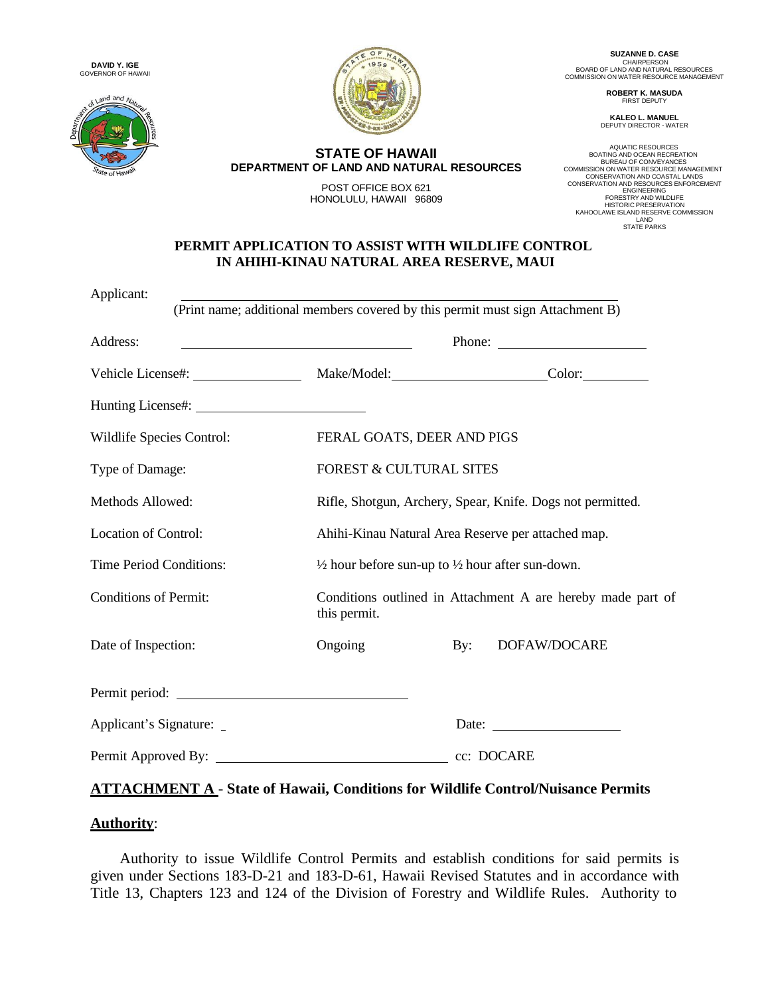





**STATE OF HAWAII DEPARTMENT OF LAND AND NATURAL RESOURCES**

> POST OFFICE BOX 621 HONOLULU, HAWAII 96809

**SUZANNE D. CASE** CHAIRPERSON<br>BOARD OF LAND AND NATURAL RESOURCES<br>COMMISSION ON WATER RESOURCE MANAGEMENT

> **ROBERT K. MASUDA** FIRST DEPUTY

**KALEO L. MANUEL** DEPUTY DIRECTOR - WATER

AQUATIC RESOURCES BOATING AND OCEAN RECREATION BUREAU OF CONVEYANCES COMMISSION ON WATER RESOURCE MANAGEMENT CONSERVATION AND COASTAL LANDS CONSERVATION AND RESOURCES ENFORCEMENT ENGINEERING FORESTRY AND WILDLIFE HISTORIC PRESERVATION<br>LAND RESERVE COMMISSION<br>LAND STATE PARKS

#### **PERMIT APPLICATION TO ASSIST WITH WILDLIFE CONTROL IN AHIHI-KINAU NATURAL AREA RESERVE, MAUI**

| FERAL GOATS, DEER AND PIGS                                                  |                |                                                                                                                               |
|-----------------------------------------------------------------------------|----------------|-------------------------------------------------------------------------------------------------------------------------------|
| <b>FOREST &amp; CULTURAL SITES</b>                                          |                |                                                                                                                               |
| Rifle, Shotgun, Archery, Spear, Knife. Dogs not permitted.                  |                |                                                                                                                               |
| Ahihi-Kinau Natural Area Reserve per attached map.                          |                |                                                                                                                               |
| $\frac{1}{2}$ hour before sun-up to $\frac{1}{2}$ hour after sun-down.      |                |                                                                                                                               |
| Conditions outlined in Attachment A are hereby made part of<br>this permit. |                |                                                                                                                               |
| Ongoing                                                                     | $\mathbf{By:}$ | DOFAW/DOCARE                                                                                                                  |
|                                                                             |                |                                                                                                                               |
|                                                                             |                | Date:                                                                                                                         |
|                                                                             |                |                                                                                                                               |
|                                                                             | Permit period: | (Print name; additional members covered by this permit must sign Attachment B)<br>Vehicle License#: Make/Model: Color: Color: |

## **ATTACHMENT A** - **State of Hawaii, Conditions for Wildlife Control/Nuisance Permits**

### **Authority**:

Authority to issue Wildlife Control Permits and establish conditions for said permits is given under Sections 183-D-21 and 183-D-61, Hawaii Revised Statutes and in accordance with Title 13, Chapters 123 and 124 of the Division of Forestry and Wildlife Rules. Authority to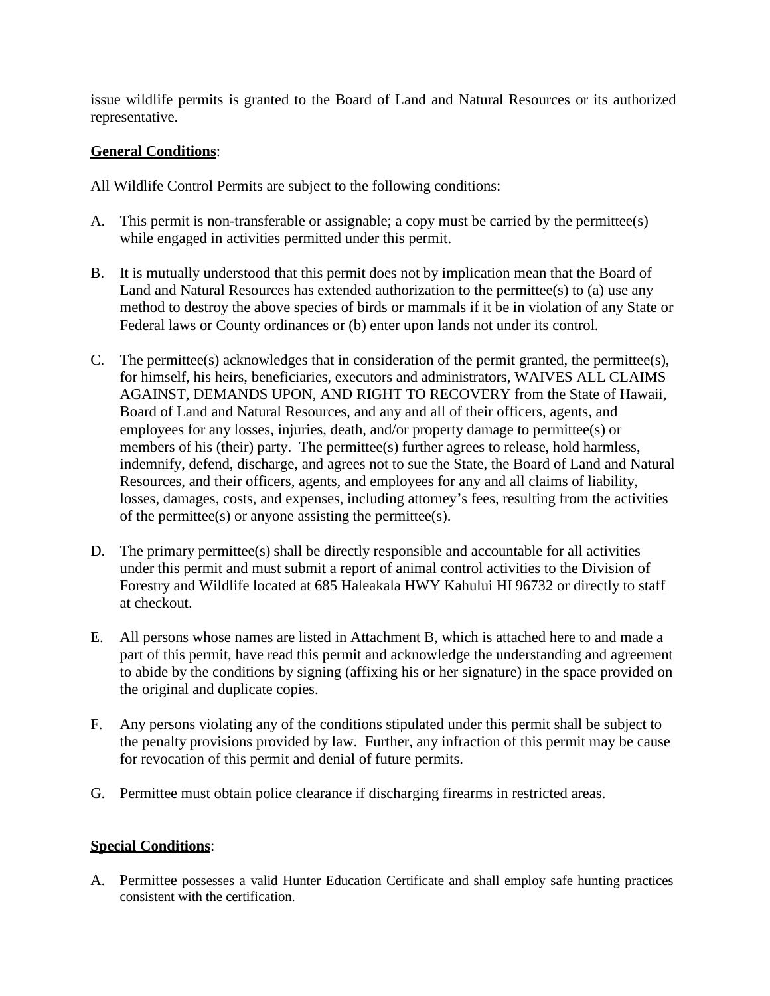issue wildlife permits is granted to the Board of Land and Natural Resources or its authorized representative.

## **General Conditions**:

All Wildlife Control Permits are subject to the following conditions:

- A. This permit is non-transferable or assignable; a copy must be carried by the permittee(s) while engaged in activities permitted under this permit.
- B. It is mutually understood that this permit does not by implication mean that the Board of Land and Natural Resources has extended authorization to the permittee(s) to (a) use any method to destroy the above species of birds or mammals if it be in violation of any State or Federal laws or County ordinances or (b) enter upon lands not under its control.
- C. The permittee(s) acknowledges that in consideration of the permit granted, the permittee(s), for himself, his heirs, beneficiaries, executors and administrators, WAIVES ALL CLAIMS AGAINST, DEMANDS UPON, AND RIGHT TO RECOVERY from the State of Hawaii, Board of Land and Natural Resources, and any and all of their officers, agents, and employees for any losses, injuries, death, and/or property damage to permittee(s) or members of his (their) party. The permittee(s) further agrees to release, hold harmless, indemnify, defend, discharge, and agrees not to sue the State, the Board of Land and Natural Resources, and their officers, agents, and employees for any and all claims of liability, losses, damages, costs, and expenses, including attorney's fees, resulting from the activities of the permittee(s) or anyone assisting the permittee(s).
- D. The primary permittee(s) shall be directly responsible and accountable for all activities under this permit and must submit a report of animal control activities to the Division of Forestry and Wildlife located at 685 Haleakala HWY Kahului HI 96732 or directly to staff at checkout.
- E. All persons whose names are listed in Attachment B, which is attached here to and made a part of this permit, have read this permit and acknowledge the understanding and agreement to abide by the conditions by signing (affixing his or her signature) in the space provided on the original and duplicate copies.
- F. Any persons violating any of the conditions stipulated under this permit shall be subject to the penalty provisions provided by law. Further, any infraction of this permit may be cause for revocation of this permit and denial of future permits.
- G. Permittee must obtain police clearance if discharging firearms in restricted areas.

### **Special Conditions**:

A. Permittee possesses a valid Hunter Education Certificate and shall employ safe hunting practices consistent with the certification.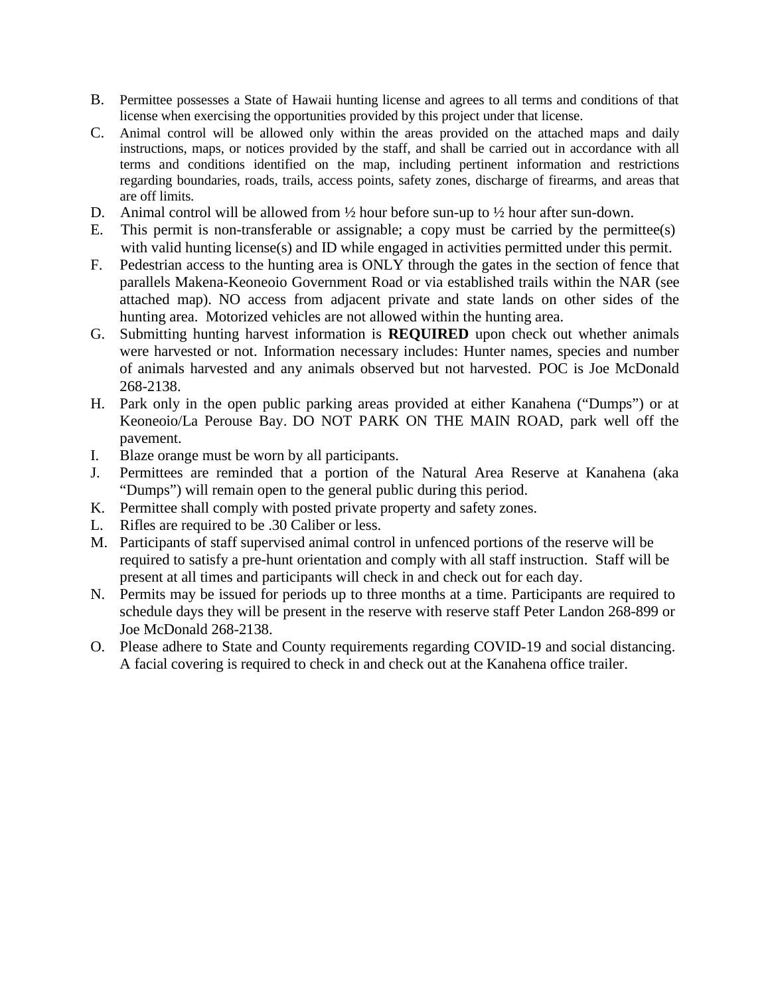- B. Permittee possesses a State of Hawaii hunting license and agrees to all terms and conditions of that license when exercising the opportunities provided by this project under that license.
- C. Animal control will be allowed only within the areas provided on the attached maps and daily instructions, maps, or notices provided by the staff, and shall be carried out in accordance with all terms and conditions identified on the map, including pertinent information and restrictions regarding boundaries, roads, trails, access points, safety zones, discharge of firearms, and areas that are off limits.
- D. Animal control will be allowed from ½ hour before sun-up to ½ hour after sun-down.
- E. This permit is non-transferable or assignable; a copy must be carried by the permittee(s) with valid hunting license(s) and ID while engaged in activities permitted under this permit.
- F. Pedestrian access to the hunting area is ONLY through the gates in the section of fence that parallels Makena-Keoneoio Government Road or via established trails within the NAR (see attached map). NO access from adjacent private and state lands on other sides of the hunting area. Motorized vehicles are not allowed within the hunting area.
- G. Submitting hunting harvest information is **REQUIRED** upon check out whether animals were harvested or not. Information necessary includes: Hunter names, species and number of animals harvested and any animals observed but not harvested. POC is Joe McDonald 268-2138.
- H. Park only in the open public parking areas provided at either Kanahena ("Dumps") or at Keoneoio/La Perouse Bay. DO NOT PARK ON THE MAIN ROAD, park well off the pavement.
- I. Blaze orange must be worn by all participants.
- J. Permittees are reminded that a portion of the Natural Area Reserve at Kanahena (aka "Dumps") will remain open to the general public during this period.
- K. Permittee shall comply with posted private property and safety zones.
- L. Rifles are required to be .30 Caliber or less.
- M. Participants of staff supervised animal control in unfenced portions of the reserve will be required to satisfy a pre-hunt orientation and comply with all staff instruction. Staff will be present at all times and participants will check in and check out for each day.
- N. Permits may be issued for periods up to three months at a time. Participants are required to schedule days they will be present in the reserve with reserve staff Peter Landon 268-899 or Joe McDonald 268-2138.
- O. Please adhere to State and County requirements regarding COVID-19 and social distancing. A facial covering is required to check in and check out at the Kanahena office trailer.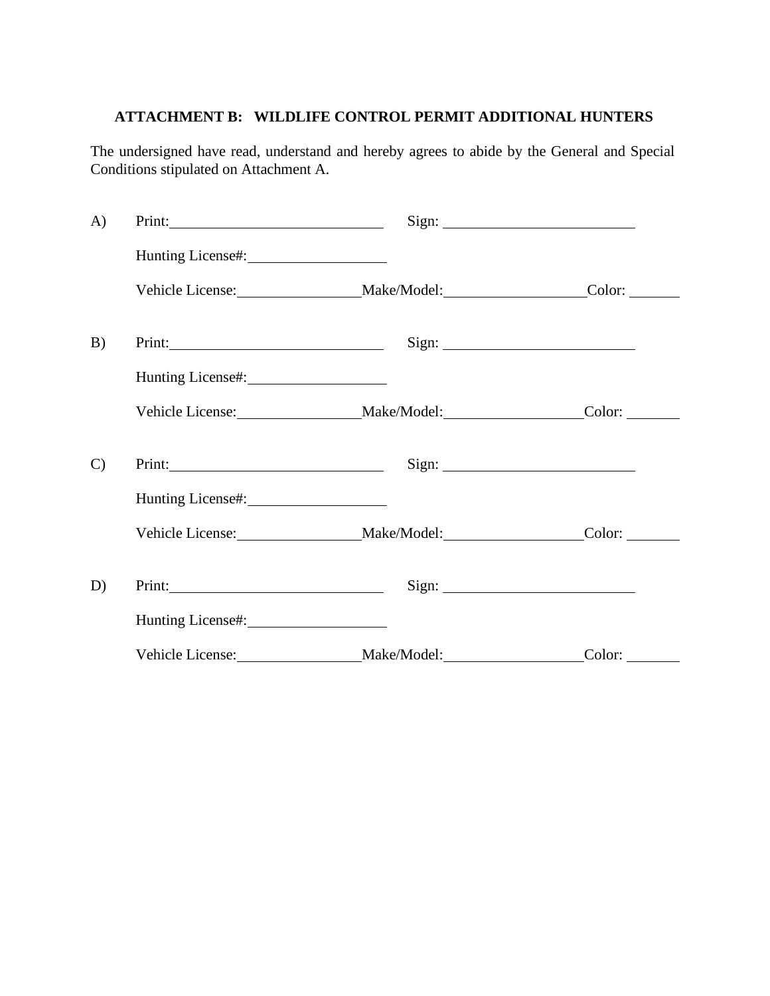# **ATTACHMENT B: WILDLIFE CONTROL PERMIT ADDITIONAL HUNTERS**

The undersigned have read, understand and hereby agrees to abide by the General and Special Conditions stipulated on Attachment A.

| $\bf{A}$      | Print:                 |                                            |       |
|---------------|------------------------|--------------------------------------------|-------|
|               | Hunting License#: 1997 |                                            |       |
|               |                        | Vehicle License: Make/Model: Color: Color: |       |
| B)            |                        |                                            | Sign: |
|               | Hunting License#: 1997 |                                            |       |
|               |                        | Vehicle License: Make/Model: Color: Color: |       |
| $\mathcal{C}$ |                        |                                            |       |
|               |                        |                                            |       |
|               |                        | Vehicle License: Make/Model: Color: Color: |       |
| D)            |                        |                                            |       |
|               | Hunting License#:      |                                            |       |
|               |                        | Vehicle License: Make/Model: Color: Color: |       |